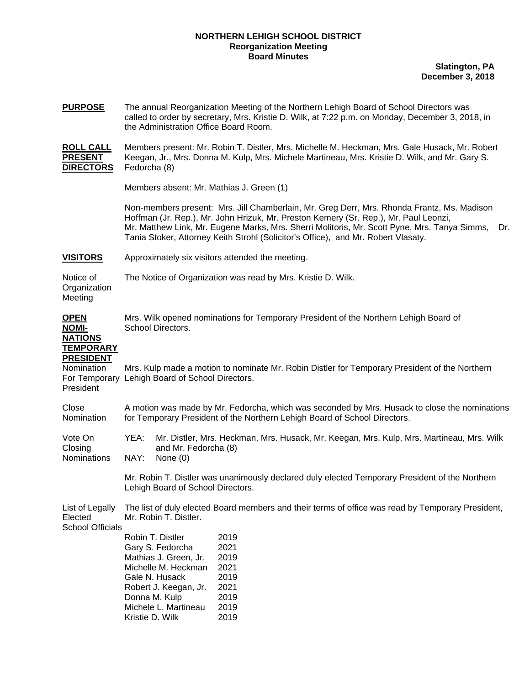## **NORTHERN LEHIGH SCHOOL DISTRICT Reorganization Meeting Board Minutes**

**Slatington, PA December 3, 2018**

| <b>PURPOSE</b> | The annual Reorganization Meeting of the Northern Lehigh Board of School Directors was<br>called to order by secretary, Mrs. Kristie D. Wilk, at 7:22 p.m. on Monday, December 3, 2018, in<br>the Administration Office Board Room. |
|----------------|-------------------------------------------------------------------------------------------------------------------------------------------------------------------------------------------------------------------------------------|
| .              |                                                                                                                                                                                                                                     |

**ROLL CALL** Members present: Mr. Robin T. Distler, Mrs. Michelle M. Heckman, Mrs. Gale Husack, Mr. Robert **PRESENT** Keegan, Jr., Mrs. Donna M. Kulp, Mrs. Michele Martineau, Mrs. Kristie D. Wilk, and Mr. Gary S. **DIRECTORS** Fedorcha (8)

Members absent: Mr. Mathias J. Green (1)

Non-members present: Mrs. Jill Chamberlain, Mr. Greg Derr, Mrs. Rhonda Frantz, Ms. Madison Hoffman (Jr. Rep.), Mr. John Hrizuk, Mr. Preston Kemery (Sr. Rep.), Mr. Paul Leonzi, Mr. Matthew Link, Mr. Eugene Marks, Mrs. Sherri Molitoris, Mr. Scott Pyne, Mrs. Tanya Simms, Dr. Tania Stoker, Attorney Keith Strohl (Solicitor's Office), and Mr. Robert Vlasaty.

**VISITORS** Approximately six visitors attended the meeting.

Notice of The Notice of Organization was read by Mrs. Kristie D. Wilk. **Organization** Meeting

| <b>OPEN</b><br><b>NOMI-</b><br><b>NATIONS</b><br><b>TEMPORARY</b> | Mrs. Wilk opened nominations for Temporary President of the Northern Lehigh Board of<br>School Directors.<br>Mrs. Kulp made a motion to nominate Mr. Robin Distler for Temporary President of the Northern<br>Lehigh Board of School Directors. |                                                                                                                                                                                                   |                                                                                                                                                                           |  |  |
|-------------------------------------------------------------------|-------------------------------------------------------------------------------------------------------------------------------------------------------------------------------------------------------------------------------------------------|---------------------------------------------------------------------------------------------------------------------------------------------------------------------------------------------------|---------------------------------------------------------------------------------------------------------------------------------------------------------------------------|--|--|
| <b>PRESIDENT</b><br>Nomination<br>For Temporary<br>President      |                                                                                                                                                                                                                                                 |                                                                                                                                                                                                   |                                                                                                                                                                           |  |  |
| Close<br>Nomination                                               | A motion was made by Mr. Fedorcha, which was seconded by Mrs. Husack to close the nominations<br>for Temporary President of the Northern Lehigh Board of School Directors.                                                                      |                                                                                                                                                                                                   |                                                                                                                                                                           |  |  |
| Vote On<br>Closing<br><b>Nominations</b>                          | YEA:<br>NAY:                                                                                                                                                                                                                                    | and Mr. Fedorcha (8)<br>None $(0)$                                                                                                                                                                | Mr. Distler, Mrs. Heckman, Mrs. Husack, Mr. Keegan, Mrs. Kulp, Mrs. Martineau, Mrs. Wilk                                                                                  |  |  |
|                                                                   |                                                                                                                                                                                                                                                 | Lehigh Board of School Directors.                                                                                                                                                                 | Mr. Robin T. Distler was unanimously declared duly elected Temporary President of the Northern                                                                            |  |  |
| List of Legally<br>Elected<br><b>School Officials</b>             | Kristie D. Wilk                                                                                                                                                                                                                                 | Mr. Robin T. Distler.<br>Robin T. Distler<br>Gary S. Fedorcha<br>Mathias J. Green, Jr.<br>Michelle M. Heckman<br>Gale N. Husack<br>Robert J. Keegan, Jr.<br>Donna M. Kulp<br>Michele L. Martineau | The list of duly elected Board members and their terms of office was read by Temporary President,<br>2019<br>2021<br>2019<br>2021<br>2019<br>2021<br>2019<br>2019<br>2019 |  |  |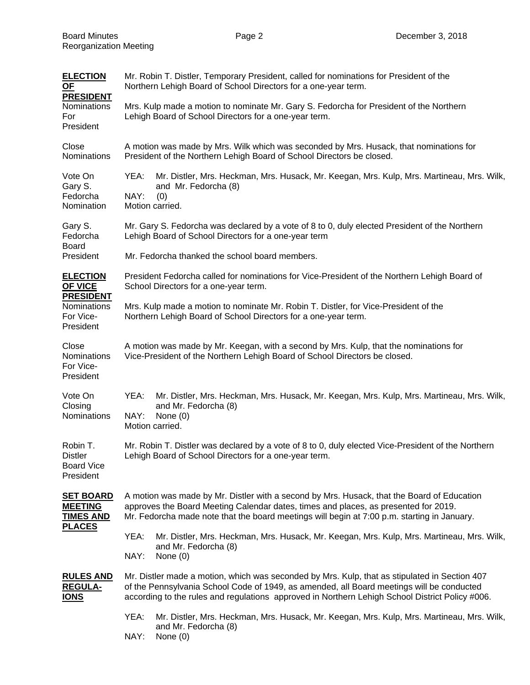| <b>ELECTION</b><br><b>OF</b>                                                                   | Mr. Robin T. Distler, Temporary President, called for nominations for President of the<br>Northern Lehigh Board of School Directors for a one-year term.                                                                                                                                      |  |  |  |
|------------------------------------------------------------------------------------------------|-----------------------------------------------------------------------------------------------------------------------------------------------------------------------------------------------------------------------------------------------------------------------------------------------|--|--|--|
| <b>PRESIDENT</b><br><b>Nominations</b><br>For<br>President                                     | Mrs. Kulp made a motion to nominate Mr. Gary S. Fedorcha for President of the Northern<br>Lehigh Board of School Directors for a one-year term.                                                                                                                                               |  |  |  |
| Close<br><b>Nominations</b>                                                                    | A motion was made by Mrs. Wilk which was seconded by Mrs. Husack, that nominations for<br>President of the Northern Lehigh Board of School Directors be closed.                                                                                                                               |  |  |  |
| Vote On<br>Gary S.<br>Fedorcha<br>Nomination                                                   | YEA:<br>Mr. Distler, Mrs. Heckman, Mrs. Husack, Mr. Keegan, Mrs. Kulp, Mrs. Martineau, Mrs. Wilk,<br>and Mr. Fedorcha (8)<br>NAY:<br>(0)<br>Motion carried.                                                                                                                                   |  |  |  |
| Gary S.<br>Fedorcha<br><b>Board</b>                                                            | Mr. Gary S. Fedorcha was declared by a vote of 8 to 0, duly elected President of the Northern<br>Lehigh Board of School Directors for a one-year term                                                                                                                                         |  |  |  |
| President                                                                                      | Mr. Fedorcha thanked the school board members.                                                                                                                                                                                                                                                |  |  |  |
| <b>ELECTION</b><br>OF VICE<br><b>PRESIDENT</b><br><b>Nominations</b><br>For Vice-<br>President | President Fedorcha called for nominations for Vice-President of the Northern Lehigh Board of<br>School Directors for a one-year term.                                                                                                                                                         |  |  |  |
|                                                                                                | Mrs. Kulp made a motion to nominate Mr. Robin T. Distler, for Vice-President of the<br>Northern Lehigh Board of School Directors for a one-year term.                                                                                                                                         |  |  |  |
| Close<br>Nominations<br>For Vice-<br>President                                                 | A motion was made by Mr. Keegan, with a second by Mrs. Kulp, that the nominations for<br>Vice-President of the Northern Lehigh Board of School Directors be closed.                                                                                                                           |  |  |  |
| Vote On<br>Closing<br><b>Nominations</b>                                                       | YEA:<br>Mr. Distler, Mrs. Heckman, Mrs. Husack, Mr. Keegan, Mrs. Kulp, Mrs. Martineau, Mrs. Wilk,<br>and Mr. Fedorcha (8)<br>NAY:<br>None $(0)$<br>Motion carried.                                                                                                                            |  |  |  |
| Robin T.<br><b>Distler</b><br><b>Board Vice</b><br>President                                   | Mr. Robin T. Distler was declared by a vote of 8 to 0, duly elected Vice-President of the Northern<br>Lehigh Board of School Directors for a one-year term.                                                                                                                                   |  |  |  |
| <b>SET BOARD</b><br><b>MEETING</b><br><b>TIMES AND</b><br><b>PLACES</b>                        | A motion was made by Mr. Distler with a second by Mrs. Husack, that the Board of Education<br>approves the Board Meeting Calendar dates, times and places, as presented for 2019.<br>Mr. Fedorcha made note that the board meetings will begin at 7:00 p.m. starting in January.              |  |  |  |
|                                                                                                | YEA:<br>Mr. Distler, Mrs. Heckman, Mrs. Husack, Mr. Keegan, Mrs. Kulp, Mrs. Martineau, Mrs. Wilk,<br>and Mr. Fedorcha (8)<br>NAY:<br>None $(0)$                                                                                                                                               |  |  |  |
| <b>RULES AND</b><br><b>REGULA-</b><br><b>IONS</b>                                              | Mr. Distler made a motion, which was seconded by Mrs. Kulp, that as stipulated in Section 407<br>of the Pennsylvania School Code of 1949, as amended, all Board meetings will be conducted<br>according to the rules and regulations approved in Northern Lehigh School District Policy #006. |  |  |  |
|                                                                                                | YEA:<br>Mr. Distler, Mrs. Heckman, Mrs. Husack, Mr. Keegan, Mrs. Kulp, Mrs. Martineau, Mrs. Wilk,<br>and Mr. Fedorcha (8)<br>NAY:<br>None $(0)$                                                                                                                                               |  |  |  |